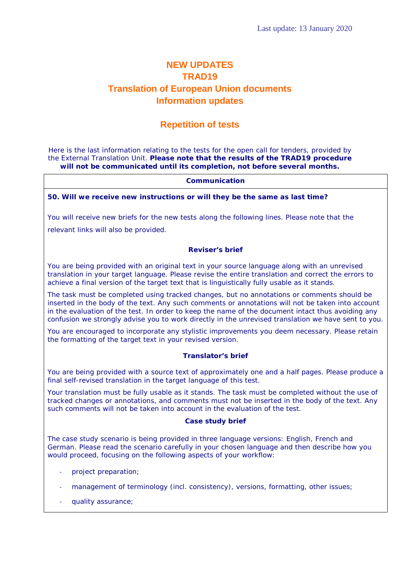# **NEW UPDATES TRAD19 Translation of European Union documents Information updates**

## **Repetition of tests**

Here is the last information relating to the tests for the open call for tenders, provided by the External Translation Unit. **Please note that the results of the TRAD19 procedure will not be communicated until its completion, not before several months.**

## **Communication**

## **50. Will we receive new instructions or will they be the same as last time?**

You will receive new briefs for the new tests along the following lines. Please note that the

relevant links will also be provided.

#### **Reviser's brief**

You are being provided with an original text in your source language along with an unrevised translation in your target language. Please revise the entire translation and correct the errors to achieve a final version of the target text that is linguistically fully usable as it stands.

The task must be completed using tracked changes, but no annotations or comments should be inserted in the body of the text. Any such comments or annotations will not be taken into account in the evaluation of the test. In order to keep the name of the document intact thus avoiding any confusion we strongly advise you to work directly in the unrevised translation we have sent to you.

You are encouraged to incorporate any stylistic improvements you deem necessary. Please retain the formatting of the target text in your revised version.

## **Translator's brief**

You are being provided with a source text of approximately one and a half pages. Please produce a final self-revised translation in the target language of this test.

Your translation must be fully usable as it stands. The task must be completed without the use of tracked changes or annotations, and comments must not be inserted in the body of the text. Any such comments will not be taken into account in the evaluation of the test.

## **Case study brief**

The case study scenario is being provided in three language versions: English, French and German. Please read the scenario carefully in your chosen language and then describe how you would proceed, focusing on the following aspects of your workflow:

- project preparation;
- management of terminology (incl. consistency), versions, formatting, other issues;
- quality assurance;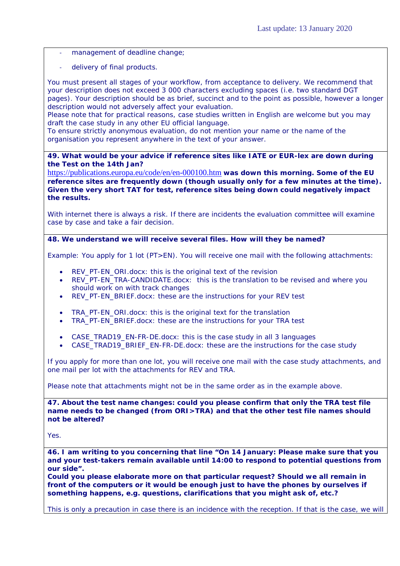- management of deadline change;
- delivery of final products.

You must present all stages of your workflow, from acceptance to delivery. We recommend that your description does not exceed 3 000 characters excluding spaces (i.e. two standard DGT pages). Your description should be as brief, succinct and to the point as possible, however a longer description would not adversely affect your evaluation.

Please note that for practical reasons, case studies written in English are welcome but you may draft the case study in any other EU official language.

To ensure strictly anonymous evaluation, do not mention your name or the name of the organisation you represent anywhere in the text of your answer.

## **49. What would be your advice if reference sites like IATE or EUR-lex are down during the Test on the 14th Jan?**

<https://publications.europa.eu/code/en/en-000100.htm> **was down this morning. Some of the EU reference sites are frequently down (though usually only for a few minutes at the time). Given the very short TAT for test, reference sites being down could negatively impact the results.** 

With internet there is always a risk. If there are incidents the evaluation committee will examine case by case and take a fair decision.

## **48. We understand we will receive several files. How will they be named?**

Example: You apply for 1 lot (PT>EN). You will receive one mail with the following attachments:

- REV\_PT-EN\_ORI.docx: this is the original text of the revision
- REV\_PT-EN\_TRA-CANDIDATE.docx: this is the translation to be revised and where you should work on with track changes
- REV\_PT-EN\_BRIEF.docx: these are the instructions for your REV test
- TRA\_PT-EN\_ORI.docx: this is the original text for the translation
- TRA\_PT-EN\_BRIEF.docx: these are the instructions for your TRA test
- CASE\_TRAD19\_EN-FR-DE.docx: this is the case study in all 3 languages
- CASE\_TRAD19\_BRIEF\_EN-FR-DE.docx: these are the instructions for the case study

If you apply for more than one lot, you will receive one mail with the case study attachments, and one mail per lot with the attachments for REV and TRA.

Please note that attachments might not be in the same order as in the example above.

**47. About the test name changes: could you please confirm that only the TRA test file name needs to be changed (from ORI>TRA) and that the other test file names should not be altered?**

Yes.

**46. I am writing to you concerning that line "On 14 January: Please make sure that you and your test-takers remain available until 14:00 to respond to potential questions from our side".** 

**Could you please elaborate more on that particular request? Should we all remain in front of the computers or it would be enough just to have the phones by ourselves if something happens, e.g. questions, clarifications that you might ask of, etc.?**

This is only a precaution in case there is an incidence with the reception. If that is the case, we will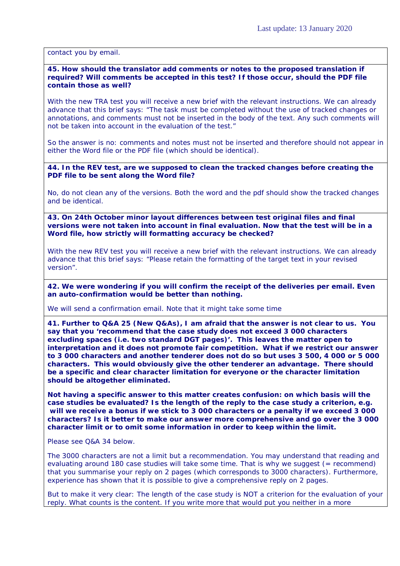contact you by email.

#### **45. How should the translator add comments or notes to the proposed translation if required? Will comments be accepted in this test? If those occur, should the PDF file contain those as well?**

With the new TRA test you will receive a new brief with the relevant instructions. We can already advance that this brief says: "The task must be completed without the use of tracked changes or annotations, and comments must not be inserted in the body of the text. Any such comments will not be taken into account in the evaluation of the test."

So the answer is no: comments and notes must not be inserted and therefore should not appear in either the Word file or the PDF file (which should be identical).

**44. In the REV test, are we supposed to clean the tracked changes before creating the PDF file to be sent along the Word file?**

No, do not clean any of the versions. Both the word and the pdf should show the tracked changes and be identical.

**43. On 24th October minor layout differences between test original files and final versions were not taken into account in final evaluation. Now that the test will be in a Word file, how strictly will formatting accuracy be checked?**

With the new REV test you will receive a new brief with the relevant instructions. We can already advance that this brief says: "Please retain the formatting of the target text in your revised version".

**42. We were wondering if you will confirm the receipt of the deliveries per email. Even an auto-confirmation would be better than nothing.**

We will send a confirmation email. Note that it might take some time

**41. Further to Q&A 25 (New Q&As), I am afraid that the answer is not clear to us. You say that you 'recommend that the case study does not exceed 3 000 characters excluding spaces (i.e. two standard DGT pages)'. This leaves the matter open to interpretation and it does not promote fair competition. What if we restrict our answer to 3 000 characters and another tenderer does not do so but uses 3 500, 4 000 or 5 000 characters. This would obviously give the other tenderer an advantage. There should be a specific and clear character limitation for everyone or the character limitation should be altogether eliminated.**

**Not having a specific answer to this matter creates confusion: on which basis will the case studies be evaluated? Is the length of the reply to the case study a criterion, e.g. will we receive a bonus if we stick to 3 000 characters or a penalty if we exceed 3 000 characters? Is it better to make our answer more comprehensive and go over the 3 000 character limit or to omit some information in order to keep within the limit.**

Please see Q&A 34 below.

The 3000 characters are not a limit but a recommendation. You may understand that reading and evaluating around 180 case studies will take some time. That is why we suggest  $($  = recommend) that you summarise your reply on 2 pages (which corresponds to 3000 characters). Furthermore, experience has shown that it is possible to give a comprehensive reply on 2 pages.

But to make it very clear: The length of the case study is NOT a criterion for the evaluation of your reply. What counts is the content. If you write more that would put you neither in a more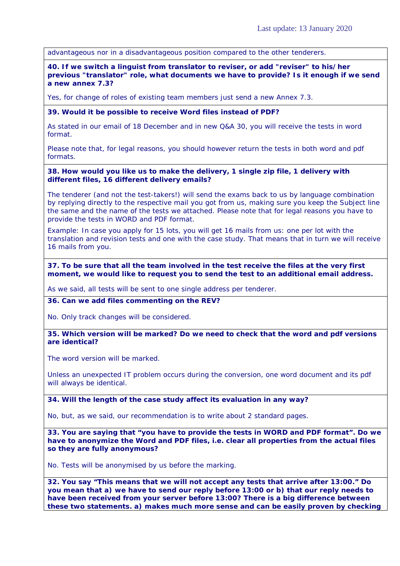advantageous nor in a disadvantageous position compared to the other tenderers.

**40. If we switch a linguist from translator to reviser, or add "reviser" to his/her previous "translator" role, what documents we have to provide? Is it enough if we send a new annex 7.3?**

Yes, for change of roles of existing team members just send a new Annex 7.3.

#### **39. Would it be possible to receive Word files instead of PDF?**

As stated in our email of 18 December and in new Q&A 30, you will receive the tests in word format.

Please note that, for legal reasons, you should however return the tests in both word and pdf formats.

#### **38. How would you like us to make the delivery, 1 single zip file, 1 delivery with different files, 16 different delivery emails?**

The tenderer (and not the test-takers!) will send the exams back to us by language combination by replying directly to the respective mail you got from us, making sure you keep the Subject line the same and the name of the tests we attached. Please note that for legal reasons you have to provide the tests in WORD and PDF format.

Example: In case you apply for 15 lots, you will get 16 mails from us: one per lot with the translation and revision tests and one with the case study. That means that in turn we will receive 16 mails from you.

#### **37. To be sure that all the team involved in the test receive the files at the very first moment, we would like to request you to send the test to an additional email address.**

As we said, all tests will be sent to one single address per tenderer.

## **36. Can we add files commenting on the REV?**

No. Only track changes will be considered.

### **35. Which version will be marked? Do we need to check that the word and pdf versions are identical?**

The word version will be marked.

Unless an unexpected IT problem occurs during the conversion, one word document and its pdf will always be identical.

#### **34. Will the length of the case study affect its evaluation in any way?**

No, but, as we said, our recommendation is to write about 2 standard pages.

**33. You are saying that "you have to provide the tests in WORD and PDF format". Do we have to anonymize the Word and PDF files, i.e. clear all properties from the actual files so they are fully anonymous?**

No. Tests will be anonymised by us before the marking.

**32. You say "This means that we will not accept any tests that arrive after 13:00." Do you mean that a) we have to send our reply before 13:00 or b) that our reply needs to have been received from your server before 13:00? There is a big difference between these two statements. a) makes much more sense and can be easily proven by checking**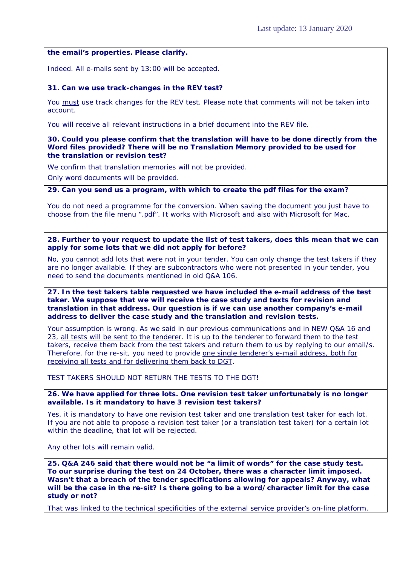**the email's properties. Please clarify.**

Indeed. All e-mails sent by 13:00 will be accepted.

#### **31. Can we use track-changes in the REV test?**

You must use track changes for the REV test. Please note that comments will not be taken into account.

You will receive all relevant instructions in a brief document into the REV file.

#### **30. Could you please confirm that the translation will have to be done directly from the Word files provided? There will be no Translation Memory provided to be used for the translation or revision test?**

We confirm that translation memories will not be provided.

Only word documents will be provided.

**29. Can you send us a program, with which to create the pdf files for the exam?**

You do not need a programme for the conversion. When saving the document you just have to choose from the file menu ".pdf". It works with Microsoft and also with Microsoft for Mac.

#### **28. Further to your request to update the list of test takers, does this mean that we can apply for some lots that we did not apply for before?**

No, you cannot add lots that were not in your tender. You can only change the test takers if they are no longer available. If they are subcontractors who were not presented in your tender, you need to send the documents mentioned in old Q&A 106.

#### **27. In the test takers table requested we have included the e-mail address of the test taker. We suppose that we will receive the case study and texts for revision and translation in that address. Our question is if we can use another company's e-mail address to deliver the case study and the translation and revision tests.**

Your assumption is wrong. As we said in our previous communications and in NEW Q&A 16 and 23, all tests will be sent to the tenderer. It is up to the tenderer to forward them to the test takers, receive them back from the test takers and return them to us by replying to our email/s. Therefore, for the re-sit, you need to provide one single tenderer's e-mail address, both for receiving all tests and for delivering them back to DGT.

TEST TAKERS SHOULD NOT RETURN THE TESTS TO THE DGT!

## **26. We have applied for three lots. One revision test taker unfortunately is no longer available. Is it mandatory to have 3 revision test takers?**

Yes, it is mandatory to have one revision test taker and one translation test taker for each lot. If you are not able to propose a revision test taker (or a translation test taker) for a certain lot within the deadline, that lot will be rejected.

Any other lots will remain valid.

**25. Q&A 246 said that there would not be "a limit of words" for the case study test. To our surprise during the test on 24 October, there was a character limit imposed. Wasn't that a breach of the tender specifications allowing for appeals? Anyway, what will be the case in the re-sit? Is there going to be a word/character limit for the case study or not?**

That was linked to the technical specificities of the external service provider's on-line platform.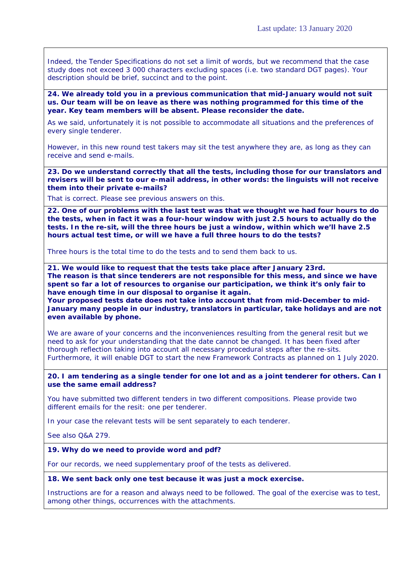Indeed, the Tender Specifications do not set a limit of words, but we recommend that the case study does not exceed 3 000 characters excluding spaces (i.e. two standard DGT pages). Your description should be brief, succinct and to the point.

**24. We already told you in a previous communication that mid-January would not suit us. Our team will be on leave as there was nothing programmed for this time of the year. Key team members will be absent. Please reconsider the date.**

As we said, unfortunately it is not possible to accommodate all situations and the preferences of every single tenderer.

However, in this new round test takers may sit the test anywhere they are, as long as they can receive and send e-mails.

**23. Do we understand correctly that all the tests, including those for our translators and revisers will be sent to our e-mail address, in other words: the linguists will not receive them into their private e-mails?**

That is correct. Please see previous answers on this.

**22. One of our problems with the last test was that we thought we had four hours to do the tests, when in fact it was a four-hour window with just 2.5 hours to actually do the tests. In the re-sit, will the three hours be just a window, within which we'll have 2.5 hours actual test time, or will we have a full three hours to do the tests?**

Three hours is the total time to do the tests and to send them back to us.

**21. We would like to request that the tests take place after January 23rd. The reason is that since tenderers are not responsible for this mess, and since we have spent so far a lot of resources to organise our participation, we think it's only fair to have enough time in our disposal to organise it again.** 

**Your proposed tests date does not take into account that from mid-December to mid-January many people in our industry, translators in particular, take holidays and are not even available by phone.**

We are aware of your concerns and the inconveniences resulting from the general resit but we need to ask for your understanding that the date cannot be changed. It has been fixed after thorough reflection taking into account all necessary procedural steps after the re-sits. Furthermore, it will enable DGT to start the new Framework Contracts as planned on 1 July 2020.

**20. I am tendering as a single tender for one lot and as a joint tenderer for others. Can I use the same email address?** 

You have submitted two different tenders in two different compositions. Please provide two different emails for the resit: one per tenderer.

In your case the relevant tests will be sent separately to each tenderer.

See also Q&A 279.

#### **19. Why do we need to provide word and pdf?**

For our records, we need supplementary proof of the tests as delivered.

#### **18. We sent back only one test because it was just a mock exercise.**

Instructions are for a reason and always need to be followed. The goal of the exercise was to test, among other things, occurrences with the attachments.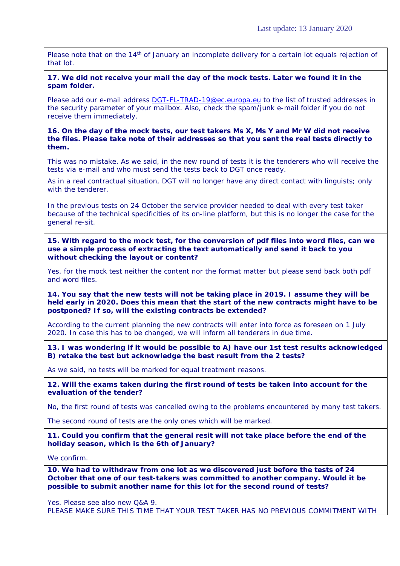Please note that on the 14<sup>th</sup> of January an incomplete delivery for a certain lot equals rejection of that lot.

## **17. We did not receive your mail the day of the mock tests. Later we found it in the spam folder.**

Please add our e-mail address [DGT-FL-TRAD-19@ec.europa.eu](mailto:DGT-FL-TRAD-19@ec.europa.eu) to the list of trusted addresses in the security parameter of your mailbox. Also, check the spam/junk e-mail folder if you do not receive them immediately.

**16. On the day of the mock tests, our test takers Ms X, Ms Y and Mr W did not receive the files. Please take note of their addresses so that you sent the real tests directly to them.**

This was no mistake. As we said, in the new round of tests it is the tenderers who will receive the tests via e-mail and who must send the tests back to DGT once ready.

As in a real contractual situation, DGT will no longer have any direct contact with linguists; only with the tenderer.

In the previous tests on 24 October the service provider needed to deal with every test taker because of the technical specificities of its on-line platform, but this is no longer the case for the general re-sit.

**15. With regard to the mock test, for the conversion of pdf files into word files, can we use a simple process of extracting the text automatically and send it back to you without checking the layout or content?** 

Yes, for the mock test neither the content nor the format matter but please send back both pdf and word files.

**14. You say that the new tests will not be taking place in 2019. I assume they will be held early in 2020. Does this mean that the start of the new contracts might have to be postponed? If so, will the existing contracts be extended?**

According to the current planning the new contracts will enter into force as foreseen on 1 July 2020. In case this has to be changed, we will inform all tenderers in due time.

**13. I was wondering if it would be possible to A) have our 1st test results acknowledged B) retake the test but acknowledge the best result from the 2 tests?**

As we said, no tests will be marked for equal treatment reasons.

**12. Will the exams taken during the first round of tests be taken into account for the evaluation of the tender?**

No, the first round of tests was cancelled owing to the problems encountered by many test takers.

The second round of tests are the only ones which will be marked.

**11. Could you confirm that the general resit will not take place before the end of the holiday season, which is the 6th of January?**

We confirm.

**10. We had to withdraw from one lot as we discovered just before the tests of 24 October that one of our test-takers was committed to another company. Would it be possible to submit another name for this lot for the second round of tests?**

Yes. Please see also new Q&A 9. PLEASE MAKE SURE THIS TIME THAT YOUR TEST TAKER HAS NO PREVIOUS COMMITMENT WITH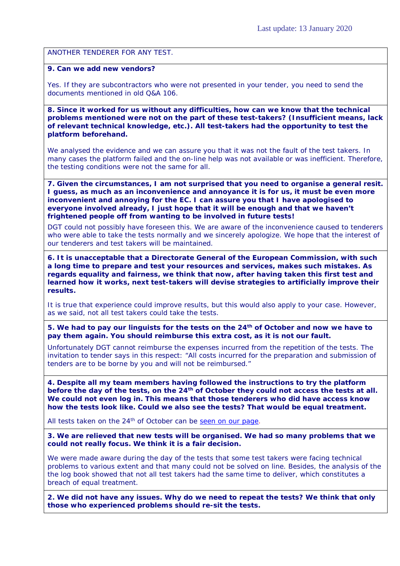ANOTHER TENDERER FOR ANY TEST.

## **9. Can we add new vendors?**

Yes. If they are subcontractors who were not presented in your tender, you need to send the documents mentioned in old Q&A 106.

**8. Since it worked for us without any difficulties, how can we know that the technical problems mentioned were not on the part of these test-takers? (Insufficient means, lack of relevant technical knowledge, etc.). All test-takers had the opportunity to test the platform beforehand.** 

We analysed the evidence and we can assure you that it was not the fault of the test takers. In many cases the platform failed and the on-line help was not available or was inefficient. Therefore, the testing conditions were not the same for all.

**7. Given the circumstances, I am not surprised that you need to organise a general resit. I guess, as much as an inconvenience and annoyance it is for us, it must be even more inconvenient and annoying for the EC. I can assure you that I have apologised to everyone involved already, I just hope that it will be enough and that we haven't frightened people off from wanting to be involved in future tests!** 

DGT could not possibly have foreseen this. We are aware of the inconvenience caused to tenderers who were able to take the tests normally and we sincerely apologize. We hope that the interest of our tenderers and test takers will be maintained.

**6. It is unacceptable that a Directorate General of the European Commission, with such a long time to prepare and test your resources and services, makes such mistakes. As regards equality and fairness, we think that now, after having taken this first test and learned how it works, next test-takers will devise strategies to artificially improve their results.** 

It is true that experience could improve results, but this would also apply to your case. However, as we said, not all test takers could take the tests.

**5. We had to pay our linguists for the tests on the 24th of October and now we have to pay them again. You should reimburse this extra cost, as it is not our fault.**

Unfortunately DGT cannot reimburse the expenses incurred from the repetition of the tests. The invitation to tender says in this respect: "All costs incurred for the preparation and submission of tenders are to be borne by you and will not be reimbursed."

**4. Despite all my team members having followed the instructions to try the platform before the day of the tests, on the 24th of October they could not access the tests at all. We could not even log in. This means that those tenderers who did have access know how the tests look like. Could we also see the tests? That would be equal treatment.**

All tests taken on the 24<sup>th</sup> of October can be [seen on our page.](https://ec.europa.eu/info/tender/trad19)

**3. We are relieved that new tests will be organised. We had so many problems that we could not really focus. We think it is a fair decision.**

We were made aware during the day of the tests that some test takers were facing technical problems to various extent and that many could not be solved on line. Besides, the analysis of the the log book showed that not all test takers had the same time to deliver, which constitutes a breach of equal treatment.

**2. We did not have any issues. Why do we need to repeat the tests? We think that only those who experienced problems should re-sit the tests.**